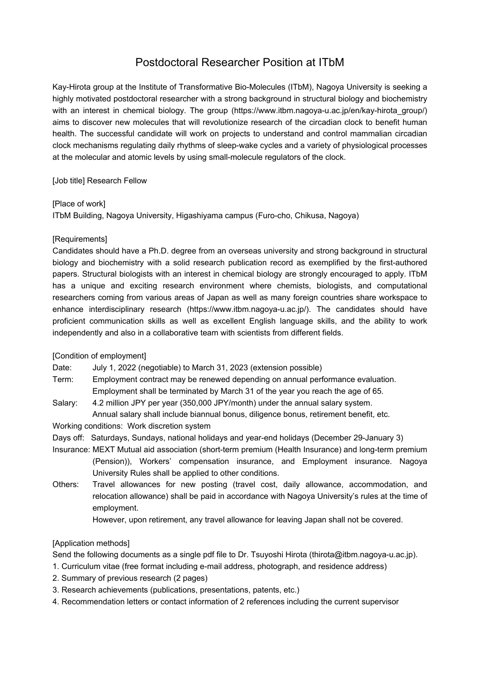# Postdoctoral Researcher Position at ITbM

Kay-Hirota group at the Institute of Transformative Bio-Molecules (ITbM), Nagoya University is seeking a highly motivated postdoctoral researcher with a strong background in structural biology and biochemistry with an interest in chemical biology. The group (https://www.itbm.nagoya-u.ac.jp/en/kay-hirota\_group/) aims to discover new molecules that will revolutionize research of the circadian clock to benefit human health. The successful candidate will work on projects to understand and control mammalian circadian clock mechanisms regulating daily rhythms of sleep-wake cycles and a variety of physiological processes at the molecular and atomic levels by using small-molecule regulators of the clock.

[Job title] Research Fellow

### [Place of work]

ITbM Building, Nagoya University, Higashiyama campus (Furo-cho, Chikusa, Nagoya)

# [Requirements]

Candidates should have a Ph.D. degree from an overseas university and strong background in structural biology and biochemistry with a solid research publication record as exemplified by the first-authored papers. Structural biologists with an interest in chemical biology are strongly encouraged to apply. ITbM has a unique and exciting research environment where chemists, biologists, and computational researchers coming from various areas of Japan as well as many foreign countries share workspace to enhance interdisciplinary research (https://www.itbm.nagoya-u.ac.jp/). The candidates should have proficient communication skills as well as excellent English language skills, and the ability to work independently and also in a collaborative team with scientists from different fields.

# [Condition of employment]

Date: July 1, 2022 (negotiable) to March 31, 2023 (extension possible)

- Term: Employment contract may be renewed depending on annual performance evaluation. Employment shall be terminated by March 31 of the year you reach the age of 65.
- Salary: 4.2 million JPY per year (350,000 JPY/month) under the annual salary system. Annual salary shall include biannual bonus, diligence bonus, retirement benefit, etc.

Working conditions: Work discretion system

- Days off: Saturdays, Sundays, national holidays and year-end holidays (December 29-January 3)
- Insurance: MEXT Mutual aid association (short-term premium (Health Insurance) and long-term premium (Pension)), Workers' compensation insurance, and Employment insurance. Nagoya University Rules shall be applied to other conditions.
- Others: Travel allowances for new posting (travel cost, daily allowance, accommodation, and relocation allowance) shall be paid in accordance with Nagoya University's rules at the time of employment.

However, upon retirement, any travel allowance for leaving Japan shall not be covered.

# [Application methods]

Send the following documents as a single pdf file to Dr. Tsuvoshi Hirota (thirota@itbm.nagoya-u.ac.jp).

- 1. Curriculum vitae (free format including e-mail address, photograph, and residence address)
- 2. Summary of previous research (2 pages)
- 3. Research achievements (publications, presentations, patents, etc.)
- 4. Recommendation letters or contact information of 2 references including the current supervisor